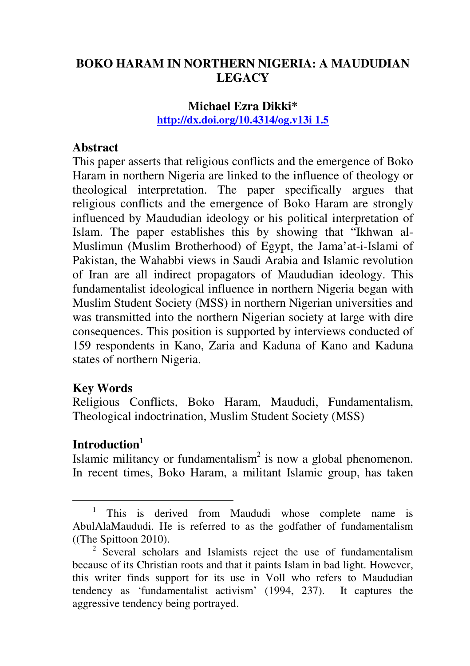# **BOKO HARAM IN NORTHERN NIGERIA: A MAUDUDIAN LEGACY**

## **Michael Ezra Dikki\* http://dx.doi.org/10.4314/og.v13i 1.5**

### **Abstract**

This paper asserts that religious conflicts and the emergence of Boko Haram in northern Nigeria are linked to the influence of theology or theological interpretation. The paper specifically argues that religious conflicts and the emergence of Boko Haram are strongly influenced by Maududian ideology or his political interpretation of Islam. The paper establishes this by showing that "Ikhwan al-Muslimun (Muslim Brotherhood) of Egypt, the Jama'at-i-Islami of Pakistan, the Wahabbi views in Saudi Arabia and Islamic revolution of Iran are all indirect propagators of Maududian ideology. This fundamentalist ideological influence in northern Nigeria began with Muslim Student Society (MSS) in northern Nigerian universities and was transmitted into the northern Nigerian society at large with dire consequences. This position is supported by interviews conducted of 159 respondents in Kano, Zaria and Kaduna of Kano and Kaduna states of northern Nigeria.

## **Key Words**

Religious Conflicts, Boko Haram, Maududi, Fundamentalism, Theological indoctrination, Muslim Student Society (MSS)

# **Introduction<sup>1</sup>**

 $\overline{\phantom{a}}$ 

Islamic militancy or fundamentalism<sup>2</sup> is now a global phenomenon. In recent times, Boko Haram, a militant Islamic group, has taken

<sup>1</sup> This is derived from Maududi whose complete name is AbulAlaMaududi. He is referred to as the godfather of fundamentalism ((The Spittoon 2010).

<sup>&</sup>lt;sup>2</sup> Several scholars and Islamists reject the use of fundamentalism because of its Christian roots and that it paints Islam in bad light. However, this writer finds support for its use in Voll who refers to Maududian tendency as 'fundamentalist activism' (1994, 237). It captures the aggressive tendency being portrayed.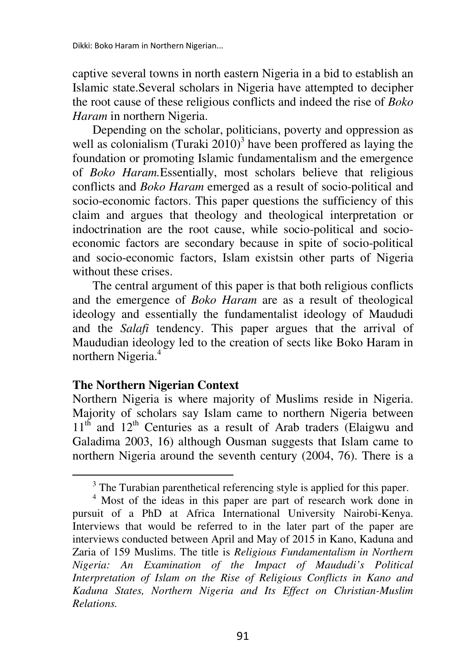captive several towns in north eastern Nigeria in a bid to establish an Islamic state.Several scholars in Nigeria have attempted to decipher the root cause of these religious conflicts and indeed the rise of *Boko Haram* in northern Nigeria.

Depending on the scholar, politicians, poverty and oppression as well as colonialism (Turaki  $2010$ <sup>3</sup> have been proffered as laying the foundation or promoting Islamic fundamentalism and the emergence of *Boko Haram.*Essentially, most scholars believe that religious conflicts and *Boko Haram* emerged as a result of socio-political and socio-economic factors. This paper questions the sufficiency of this claim and argues that theology and theological interpretation or indoctrination are the root cause, while socio-political and socioeconomic factors are secondary because in spite of socio-political and socio-economic factors, Islam existsin other parts of Nigeria without these crises.

The central argument of this paper is that both religious conflicts and the emergence of *Boko Haram* are as a result of theological ideology and essentially the fundamentalist ideology of Maududi and the *Salafi* tendency. This paper argues that the arrival of Maududian ideology led to the creation of sects like Boko Haram in northern Nigeria.<sup>4</sup>

#### **The Northern Nigerian Context**

l

Northern Nigeria is where majority of Muslims reside in Nigeria. Majority of scholars say Islam came to northern Nigeria between  $11<sup>th</sup>$  and  $12<sup>th</sup>$  Centuries as a result of Arab traders (Elaigwu and Galadima 2003, 16) although Ousman suggests that Islam came to northern Nigeria around the seventh century (2004, 76). There is a

<sup>&</sup>lt;sup>3</sup> The Turabian parenthetical referencing style is applied for this paper.

<sup>4</sup> Most of the ideas in this paper are part of research work done in pursuit of a PhD at Africa International University Nairobi-Kenya. Interviews that would be referred to in the later part of the paper are interviews conducted between April and May of 2015 in Kano, Kaduna and Zaria of 159 Muslims. The title is *Religious Fundamentalism in Northern Nigeria: An Examination of the Impact of Maududi's Political Interpretation of Islam on the Rise of Religious Conflicts in Kano and Kaduna States, Northern Nigeria and Its Effect on Christian-Muslim Relations.*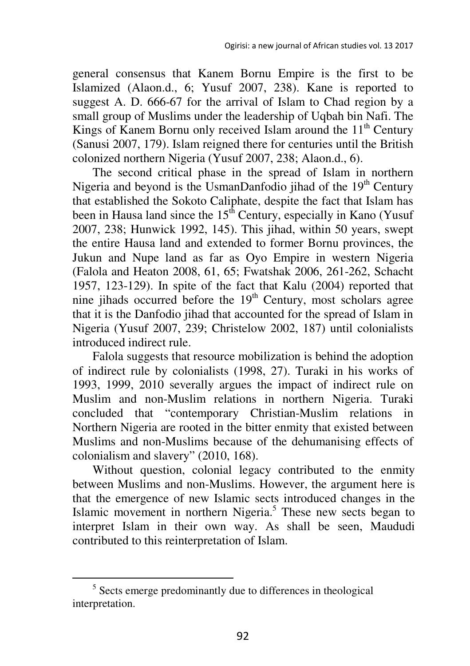general consensus that Kanem Bornu Empire is the first to be Islamized (Alaon.d., 6; Yusuf 2007, 238). Kane is reported to suggest A. D. 666-67 for the arrival of Islam to Chad region by a small group of Muslims under the leadership of Uqbah bin Nafi. The Kings of Kanem Bornu only received Islam around the  $11<sup>th</sup>$  Century (Sanusi 2007, 179). Islam reigned there for centuries until the British colonized northern Nigeria (Yusuf 2007, 238; Alaon.d., 6).

The second critical phase in the spread of Islam in northern Nigeria and beyond is the UsmanDanfodio jihad of the  $19<sup>th</sup>$  Century that established the Sokoto Caliphate, despite the fact that Islam has been in Hausa land since the  $15<sup>th</sup>$  Century, especially in Kano (Yusuf) 2007, 238; Hunwick 1992, 145). This jihad, within 50 years, swept the entire Hausa land and extended to former Bornu provinces, the Jukun and Nupe land as far as Oyo Empire in western Nigeria (Falola and Heaton 2008, 61, 65; Fwatshak 2006, 261-262, Schacht 1957, 123-129). In spite of the fact that Kalu (2004) reported that nine jihads occurred before the  $19<sup>th</sup>$  Century, most scholars agree that it is the Danfodio jihad that accounted for the spread of Islam in Nigeria (Yusuf 2007, 239; Christelow 2002, 187) until colonialists introduced indirect rule.

Falola suggests that resource mobilization is behind the adoption of indirect rule by colonialists (1998, 27). Turaki in his works of 1993, 1999, 2010 severally argues the impact of indirect rule on Muslim and non-Muslim relations in northern Nigeria. Turaki concluded that "contemporary Christian-Muslim relations in Northern Nigeria are rooted in the bitter enmity that existed between Muslims and non-Muslims because of the dehumanising effects of colonialism and slavery" (2010, 168).

Without question, colonial legacy contributed to the enmity between Muslims and non-Muslims. However, the argument here is that the emergence of new Islamic sects introduced changes in the Islamic movement in northern Nigeria.<sup>5</sup> These new sects began to interpret Islam in their own way. As shall be seen, Maududi contributed to this reinterpretation of Islam.

 $\overline{\phantom{a}}$ 

<sup>&</sup>lt;sup>5</sup> Sects emerge predominantly due to differences in theological interpretation.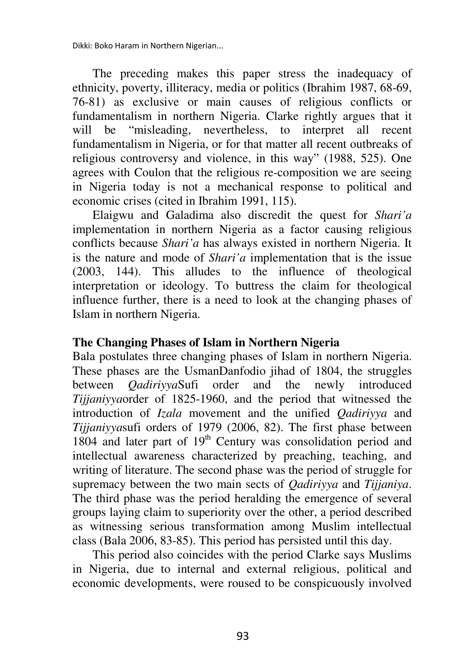Dikki: Boko Haram in Northern Nigerian...

The preceding makes this paper stress the inadequacy of ethnicity, poverty, illiteracy, media or politics (Ibrahim 1987, 68-69, 76-81) as exclusive or main causes of religious conflicts or fundamentalism in northern Nigeria. Clarke rightly argues that it will be "misleading, nevertheless, to interpret all recent fundamentalism in Nigeria, or for that matter all recent outbreaks of religious controversy and violence, in this way" (1988, 525). One agrees with Coulon that the religious re-composition we are seeing in Nigeria today is not a mechanical response to political and economic crises (cited in Ibrahim 1991, 115).

Elaigwu and Galadima also discredit the quest for *Shari'a*  implementation in northern Nigeria as a factor causing religious conflicts because *Shari'a* has always existed in northern Nigeria. It is the nature and mode of *Shari'a* implementation that is the issue (2003, 144). This alludes to the influence of theological interpretation or ideology. To buttress the claim for theological influence further, there is a need to look at the changing phases of Islam in northern Nigeria.

#### **The Changing Phases of Islam in Northern Nigeria**

Bala postulates three changing phases of Islam in northern Nigeria. These phases are the UsmanDanfodio jihad of 1804, the struggles between *Qadiriyya*Sufi order and the newly introduced *Tijjaniyya*order of 1825-1960, and the period that witnessed the introduction of *Izala* movement and the unified *Qadiriyya* and *Tijjaniyya*sufi orders of 1979 (2006, 82). The first phase between  $1804$  and later part of  $19<sup>th</sup>$  Century was consolidation period and intellectual awareness characterized by preaching, teaching, and writing of literature. The second phase was the period of struggle for supremacy between the two main sects of *Qadiriyya* and *Tijjaniya*. The third phase was the period heralding the emergence of several groups laying claim to superiority over the other, a period described as witnessing serious transformation among Muslim intellectual class (Bala 2006, 83-85). This period has persisted until this day.

This period also coincides with the period Clarke says Muslims in Nigeria, due to internal and external religious, political and economic developments, were roused to be conspicuously involved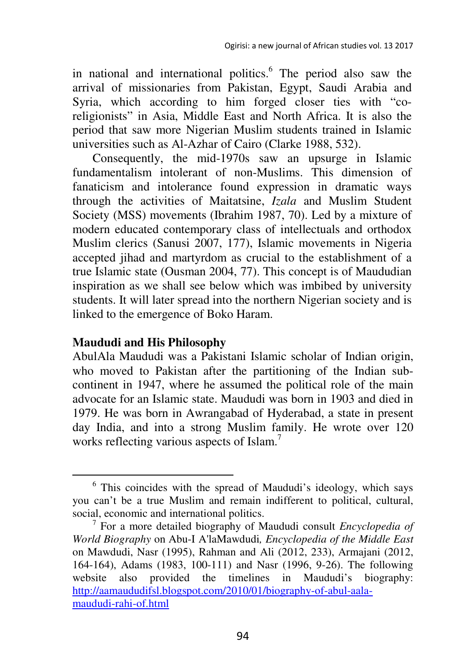in national and international politics.<sup>6</sup> The period also saw the arrival of missionaries from Pakistan, Egypt, Saudi Arabia and Syria, which according to him forged closer ties with "coreligionists" in Asia, Middle East and North Africa. It is also the period that saw more Nigerian Muslim students trained in Islamic universities such as Al-Azhar of Cairo (Clarke 1988, 532).

Consequently, the mid-1970s saw an upsurge in Islamic fundamentalism intolerant of non-Muslims. This dimension of fanaticism and intolerance found expression in dramatic ways through the activities of Maitatsine, *Izala* and Muslim Student Society (MSS) movements (Ibrahim 1987, 70). Led by a mixture of modern educated contemporary class of intellectuals and orthodox Muslim clerics (Sanusi 2007, 177), Islamic movements in Nigeria accepted jihad and martyrdom as crucial to the establishment of a true Islamic state (Ousman 2004, 77). This concept is of Maududian inspiration as we shall see below which was imbibed by university students. It will later spread into the northern Nigerian society and is linked to the emergence of Boko Haram.

## **Maududi and His Philosophy**

l

AbulAla Maududi was a Pakistani Islamic scholar of Indian origin, who moved to Pakistan after the partitioning of the Indian subcontinent in 1947, where he assumed the political role of the main advocate for an Islamic state. Maududi was born in 1903 and died in 1979. He was born in Awrangabad of Hyderabad, a state in present day India, and into a strong Muslim family. He wrote over 120 works reflecting various aspects of Islam.<sup>7</sup>

<sup>&</sup>lt;sup>6</sup> This coincides with the spread of Maududi's ideology, which says you can't be a true Muslim and remain indifferent to political, cultural, social, economic and international politics.

<sup>7</sup> For a more detailed biography of Maududi consult *Encyclopedia of World Biography* on Abu-I A'laMawdudi*, Encyclopedia of the Middle East*  on Mawdudi, Nasr (1995), Rahman and Ali (2012, 233), Armajani (2012, 164-164), Adams (1983, 100-111) and Nasr (1996, 9-26). The following website also provided the timelines in Maududi's biography: http://aamaududifsl.blogspot.com/2010/01/biography-of-abul-aalamaududi-rahi-of.html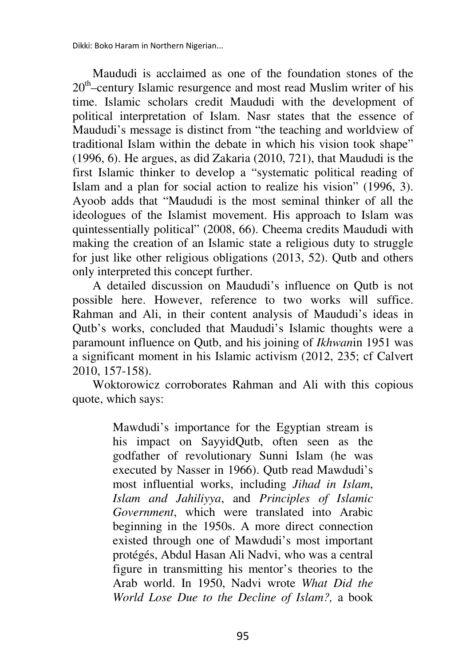Dikki: Boko Haram in Northern Nigerian...

Maududi is acclaimed as one of the foundation stones of the 20th–century Islamic resurgence and most read Muslim writer of his time. Islamic scholars credit Maududi with the development of political interpretation of Islam. Nasr states that the essence of Maududi's message is distinct from "the teaching and worldview of traditional Islam within the debate in which his vision took shape" (1996, 6). He argues, as did Zakaria (2010, 721), that Maududi is the first Islamic thinker to develop a "systematic political reading of Islam and a plan for social action to realize his vision" (1996, 3). Ayoob adds that "Maududi is the most seminal thinker of all the ideologues of the Islamist movement. His approach to Islam was quintessentially political" (2008, 66). Cheema credits Maududi with making the creation of an Islamic state a religious duty to struggle for just like other religious obligations (2013, 52). Qutb and others only interpreted this concept further.

A detailed discussion on Maududi's influence on Qutb is not possible here. However, reference to two works will suffice. Rahman and Ali, in their content analysis of Maududi's ideas in Qutb's works, concluded that Maududi's Islamic thoughts were a paramount influence on Qutb, and his joining of *Ikhwan*in 1951 was a significant moment in his Islamic activism (2012, 235; cf Calvert 2010, 157-158).

Woktorowicz corroborates Rahman and Ali with this copious quote, which says:

> Mawdudi's importance for the Egyptian stream is his impact on SayyidQutb, often seen as the godfather of revolutionary Sunni Islam (he was executed by Nasser in 1966). Qutb read Mawdudi's most influential works, including *Jihad in Islam*, *Islam and Jahiliyya*, and *Principles of Islamic Government*, which were translated into Arabic beginning in the 1950s. A more direct connection existed through one of Mawdudi's most important protégés, Abdul Hasan Ali Nadvi, who was a central figure in transmitting his mentor's theories to the Arab world. In 1950, Nadvi wrote *What Did the World Lose Due to the Decline of Islam?,* a book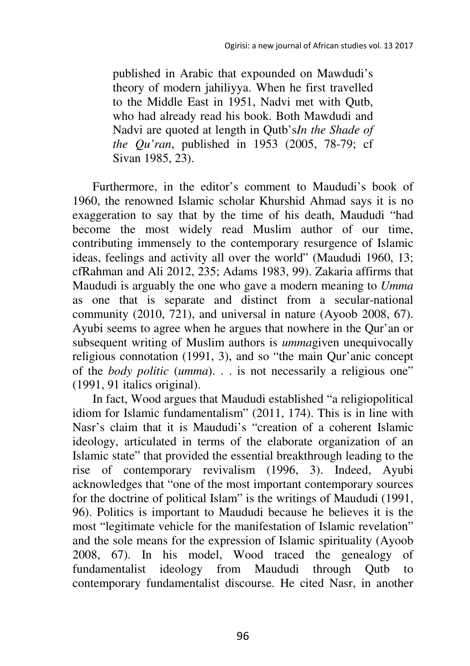published in Arabic that expounded on Mawdudi's theory of modern jahiliyya. When he first travelled to the Middle East in 1951, Nadvi met with Qutb, who had already read his book. Both Mawdudi and Nadvi are quoted at length in Qutb's*In the Shade of the Qu'ran*, published in 1953 (2005, 78-79; cf Sivan 1985, 23).

Furthermore, in the editor's comment to Maududi's book of 1960, the renowned Islamic scholar Khurshid Ahmad says it is no exaggeration to say that by the time of his death, Maududi "had become the most widely read Muslim author of our time, contributing immensely to the contemporary resurgence of Islamic ideas, feelings and activity all over the world" (Maududi 1960, 13; cfRahman and Ali 2012, 235; Adams 1983, 99). Zakaria affirms that Maududi is arguably the one who gave a modern meaning to *Umma* as one that is separate and distinct from a secular-national community (2010, 721), and universal in nature (Ayoob 2008, 67). Ayubi seems to agree when he argues that nowhere in the Qur'an or subsequent writing of Muslim authors is *umma*given unequivocally religious connotation (1991, 3), and so "the main Qur'anic concept of the *body politic* (*umma*). . . is not necessarily a religious one" (1991, 91 italics original).

In fact, Wood argues that Maududi established "a religiopolitical idiom for Islamic fundamentalism" (2011, 174). This is in line with Nasr's claim that it is Maududi's "creation of a coherent Islamic ideology, articulated in terms of the elaborate organization of an Islamic state" that provided the essential breakthrough leading to the rise of contemporary revivalism (1996, 3). Indeed, Ayubi acknowledges that "one of the most important contemporary sources for the doctrine of political Islam" is the writings of Maududi (1991, 96). Politics is important to Maududi because he believes it is the most "legitimate vehicle for the manifestation of Islamic revelation" and the sole means for the expression of Islamic spirituality (Ayoob 2008, 67). In his model, Wood traced the genealogy of fundamentalist ideology from Maududi through Qutb to contemporary fundamentalist discourse. He cited Nasr, in another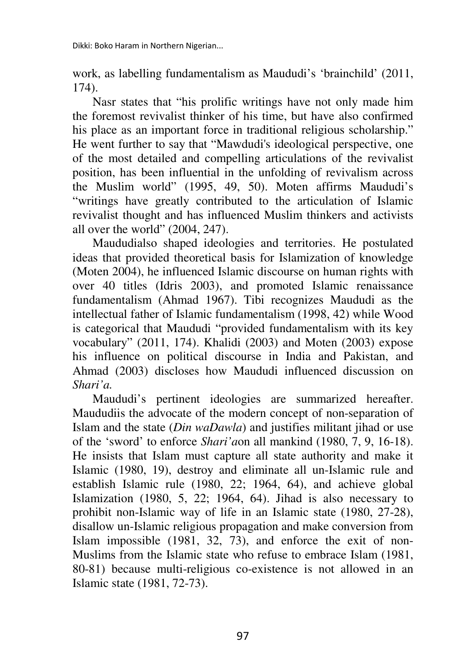work, as labelling fundamentalism as Maududi's 'brainchild' (2011, 174).

Nasr states that "his prolific writings have not only made him the foremost revivalist thinker of his time, but have also confirmed his place as an important force in traditional religious scholarship." He went further to say that "Mawdudi's ideological perspective, one of the most detailed and compelling articulations of the revivalist position, has been influential in the unfolding of revivalism across the Muslim world" (1995, 49, 50). Moten affirms Maududi's "writings have greatly contributed to the articulation of Islamic revivalist thought and has influenced Muslim thinkers and activists all over the world" (2004, 247).

Maududialso shaped ideologies and territories. He postulated ideas that provided theoretical basis for Islamization of knowledge (Moten 2004), he influenced Islamic discourse on human rights with over 40 titles (Idris 2003), and promoted Islamic renaissance fundamentalism (Ahmad 1967). Tibi recognizes Maududi as the intellectual father of Islamic fundamentalism (1998, 42) while Wood is categorical that Maududi "provided fundamentalism with its key vocabulary" (2011, 174). Khalidi (2003) and Moten (2003) expose his influence on political discourse in India and Pakistan, and Ahmad (2003) discloses how Maududi influenced discussion on *Shari'a.* 

Maududi's pertinent ideologies are summarized hereafter. Maududiis the advocate of the modern concept of non-separation of Islam and the state (*Din waDawla*) and justifies militant jihad or use of the 'sword' to enforce *Shari'a*on all mankind (1980, 7, 9, 16-18). He insists that Islam must capture all state authority and make it Islamic (1980, 19), destroy and eliminate all un-Islamic rule and establish Islamic rule (1980, 22; 1964, 64), and achieve global Islamization (1980, 5, 22; 1964, 64). Jihad is also necessary to prohibit non-Islamic way of life in an Islamic state (1980, 27-28), disallow un-Islamic religious propagation and make conversion from Islam impossible (1981, 32, 73), and enforce the exit of non-Muslims from the Islamic state who refuse to embrace Islam (1981, 80-81) because multi-religious co-existence is not allowed in an Islamic state (1981, 72-73).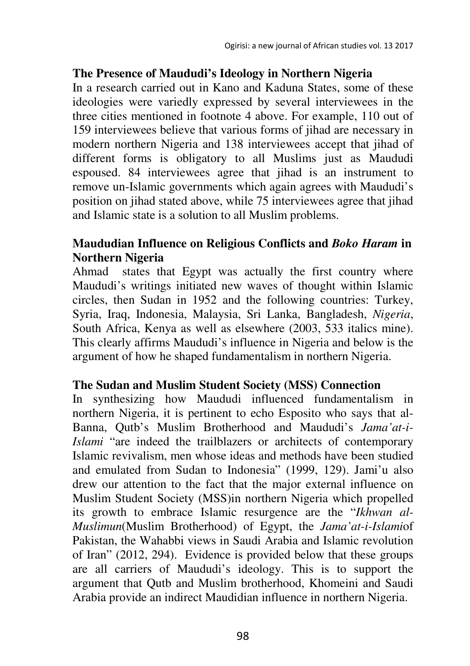### **The Presence of Maududi's Ideology in Northern Nigeria**

In a research carried out in Kano and Kaduna States, some of these ideologies were variedly expressed by several interviewees in the three cities mentioned in footnote 4 above. For example, 110 out of 159 interviewees believe that various forms of jihad are necessary in modern northern Nigeria and 138 interviewees accept that jihad of different forms is obligatory to all Muslims just as Maududi espoused. 84 interviewees agree that jihad is an instrument to remove un-Islamic governments which again agrees with Maududi's position on jihad stated above, while 75 interviewees agree that jihad and Islamic state is a solution to all Muslim problems.

# **Maududian Influence on Religious Conflicts and** *Boko Haram* **in Northern Nigeria**

Ahmad states that Egypt was actually the first country where Maududi's writings initiated new waves of thought within Islamic circles, then Sudan in 1952 and the following countries: Turkey, Syria, Iraq, Indonesia, Malaysia, Sri Lanka, Bangladesh, *Nigeria*, South Africa, Kenya as well as elsewhere (2003, 533 italics mine). This clearly affirms Maududi's influence in Nigeria and below is the argument of how he shaped fundamentalism in northern Nigeria.

## **The Sudan and Muslim Student Society (MSS) Connection**

In synthesizing how Maududi influenced fundamentalism in northern Nigeria, it is pertinent to echo Esposito who says that al-Banna, Qutb's Muslim Brotherhood and Maududi's *Jama'at-i-Islami* "are indeed the trailblazers or architects of contemporary Islamic revivalism, men whose ideas and methods have been studied and emulated from Sudan to Indonesia" (1999, 129). Jami'u also drew our attention to the fact that the major external influence on Muslim Student Society (MSS)in northern Nigeria which propelled its growth to embrace Islamic resurgence are the "*Ikhwan al-Muslimun*(Muslim Brotherhood) of Egypt, the *Jama'at-i-Islami*of Pakistan, the Wahabbi views in Saudi Arabia and Islamic revolution of Iran" (2012, 294). Evidence is provided below that these groups are all carriers of Maududi's ideology. This is to support the argument that Qutb and Muslim brotherhood, Khomeini and Saudi Arabia provide an indirect Maudidian influence in northern Nigeria.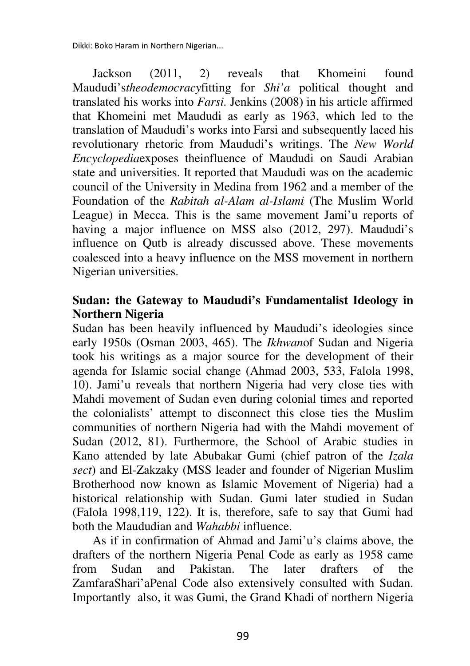Dikki: Boko Haram in Northern Nigerian...

Jackson (2011, 2) reveals that Khomeini found Maududi's*theodemocracy*fitting for *Shi'a* political thought and translated his works into *Farsi.* Jenkins (2008) in his article affirmed that Khomeini met Maududi as early as 1963, which led to the translation of Maududi's works into Farsi and subsequently laced his revolutionary rhetoric from Maududi's writings. The *New World Encyclopedia*exposes theinfluence of Maududi on Saudi Arabian state and universities. It reported that Maududi was on the academic council of the University in Medina from 1962 and a member of the Foundation of the *Rabitah al-Alam al-Islami* (The Muslim World League) in Mecca. This is the same movement Jami'u reports of having a major influence on MSS also (2012, 297). Maududi's influence on Qutb is already discussed above. These movements coalesced into a heavy influence on the MSS movement in northern Nigerian universities.

# **Sudan: the Gateway to Maududi's Fundamentalist Ideology in Northern Nigeria**

Sudan has been heavily influenced by Maududi's ideologies since early 1950s (Osman 2003, 465). The *Ikhwan*of Sudan and Nigeria took his writings as a major source for the development of their agenda for Islamic social change (Ahmad 2003, 533, Falola 1998, 10). Jami'u reveals that northern Nigeria had very close ties with Mahdi movement of Sudan even during colonial times and reported the colonialists' attempt to disconnect this close ties the Muslim communities of northern Nigeria had with the Mahdi movement of Sudan (2012, 81). Furthermore, the School of Arabic studies in Kano attended by late Abubakar Gumi (chief patron of the *Izala sect*) and El-Zakzaky (MSS leader and founder of Nigerian Muslim Brotherhood now known as Islamic Movement of Nigeria) had a historical relationship with Sudan. Gumi later studied in Sudan (Falola 1998,119, 122). It is, therefore, safe to say that Gumi had both the Maududian and *Wahabbi* influence.

As if in confirmation of Ahmad and Jami'u's claims above, the drafters of the northern Nigeria Penal Code as early as 1958 came from Sudan and Pakistan. The later drafters of the ZamfaraShari'aPenal Code also extensively consulted with Sudan. Importantly also, it was Gumi, the Grand Khadi of northern Nigeria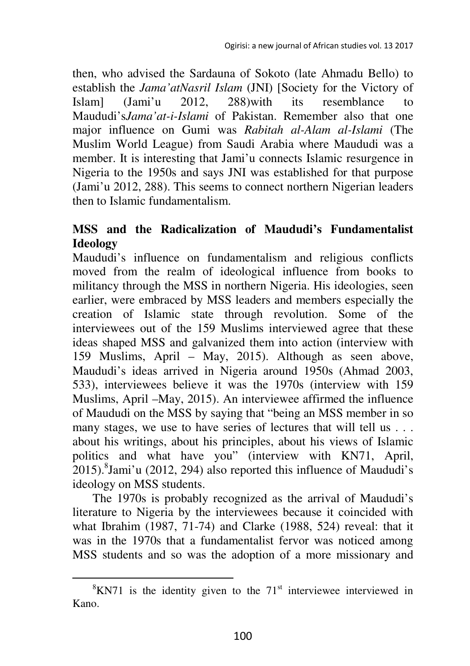then, who advised the Sardauna of Sokoto (late Ahmadu Bello) to establish the *Jama'atNasril Islam* (JNI) [Society for the Victory of Islam] (Jami'u 2012, 288)with its resemblance to Maududi's*Jama'at-i-Islami* of Pakistan. Remember also that one major influence on Gumi was *Rabitah al-Alam al-Islami* (The Muslim World League) from Saudi Arabia where Maududi was a member. It is interesting that Jami'u connects Islamic resurgence in Nigeria to the 1950s and says JNI was established for that purpose (Jami'u 2012, 288). This seems to connect northern Nigerian leaders then to Islamic fundamentalism.

# **MSS and the Radicalization of Maududi's Fundamentalist Ideology**

Maududi's influence on fundamentalism and religious conflicts moved from the realm of ideological influence from books to militancy through the MSS in northern Nigeria. His ideologies, seen earlier, were embraced by MSS leaders and members especially the creation of Islamic state through revolution. Some of the interviewees out of the 159 Muslims interviewed agree that these ideas shaped MSS and galvanized them into action (interview with 159 Muslims, April – May, 2015). Although as seen above, Maududi's ideas arrived in Nigeria around 1950s (Ahmad 2003, 533), interviewees believe it was the 1970s (interview with 159 Muslims, April –May, 2015). An interviewee affirmed the influence of Maududi on the MSS by saying that "being an MSS member in so many stages, we use to have series of lectures that will tell us . . . about his writings, about his principles, about his views of Islamic politics and what have you" (interview with KN71, April, 2015). <sup>8</sup>Jami'u (2012, 294) also reported this influence of Maududi's ideology on MSS students.

The 1970s is probably recognized as the arrival of Maududi's literature to Nigeria by the interviewees because it coincided with what Ibrahim (1987, 71-74) and Clarke (1988, 524) reveal: that it was in the 1970s that a fundamentalist fervor was noticed among MSS students and so was the adoption of a more missionary and

 $\overline{\phantom{a}}$ 

 ${}^{8}$ KN71 is the identity given to the 71<sup>st</sup> interviewee interviewed in Kano.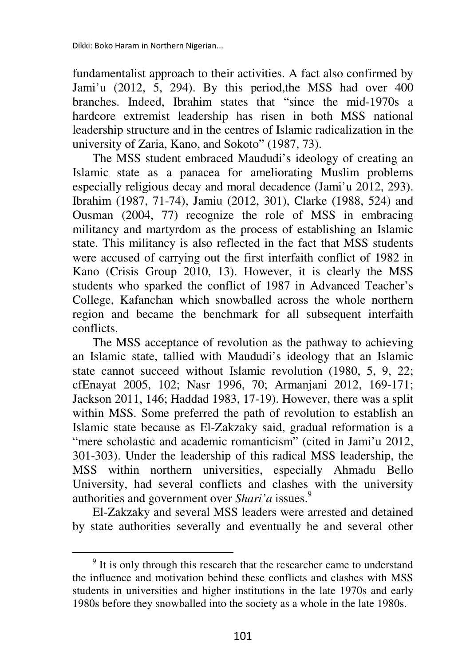l

fundamentalist approach to their activities. A fact also confirmed by Jami'u (2012, 5, 294). By this period,the MSS had over 400 branches. Indeed, Ibrahim states that "since the mid-1970s a hardcore extremist leadership has risen in both MSS national leadership structure and in the centres of Islamic radicalization in the university of Zaria, Kano, and Sokoto" (1987, 73).

The MSS student embraced Maududi's ideology of creating an Islamic state as a panacea for ameliorating Muslim problems especially religious decay and moral decadence (Jami'u 2012, 293). Ibrahim (1987, 71-74), Jamiu (2012, 301), Clarke (1988, 524) and Ousman (2004, 77) recognize the role of MSS in embracing militancy and martyrdom as the process of establishing an Islamic state. This militancy is also reflected in the fact that MSS students were accused of carrying out the first interfaith conflict of 1982 in Kano (Crisis Group 2010, 13). However, it is clearly the MSS students who sparked the conflict of 1987 in Advanced Teacher's College, Kafanchan which snowballed across the whole northern region and became the benchmark for all subsequent interfaith conflicts.

The MSS acceptance of revolution as the pathway to achieving an Islamic state, tallied with Maududi's ideology that an Islamic state cannot succeed without Islamic revolution (1980, 5, 9, 22; cfEnayat 2005, 102; Nasr 1996, 70; Armanjani 2012, 169-171; Jackson 2011, 146; Haddad 1983, 17-19). However, there was a split within MSS. Some preferred the path of revolution to establish an Islamic state because as El-Zakzaky said, gradual reformation is a "mere scholastic and academic romanticism" (cited in Jami'u 2012, 301-303). Under the leadership of this radical MSS leadership, the MSS within northern universities, especially Ahmadu Bello University, had several conflicts and clashes with the university authorities and government over *Shari'a* issues.<sup>9</sup>

El-Zakzaky and several MSS leaders were arrested and detained by state authorities severally and eventually he and several other

<sup>&</sup>lt;sup>9</sup> It is only through this research that the researcher came to understand the influence and motivation behind these conflicts and clashes with MSS students in universities and higher institutions in the late 1970s and early 1980s before they snowballed into the society as a whole in the late 1980s.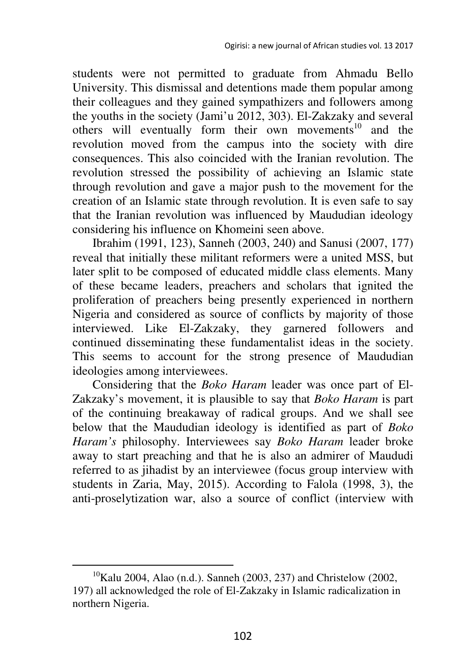students were not permitted to graduate from Ahmadu Bello University. This dismissal and detentions made them popular among their colleagues and they gained sympathizers and followers among the youths in the society (Jami'u 2012, 303). El-Zakzaky and several others will eventually form their own movements<sup>10</sup> and the revolution moved from the campus into the society with dire consequences. This also coincided with the Iranian revolution. The revolution stressed the possibility of achieving an Islamic state through revolution and gave a major push to the movement for the creation of an Islamic state through revolution. It is even safe to say that the Iranian revolution was influenced by Maududian ideology considering his influence on Khomeini seen above.

Ibrahim (1991, 123), Sanneh (2003, 240) and Sanusi (2007, 177) reveal that initially these militant reformers were a united MSS, but later split to be composed of educated middle class elements. Many of these became leaders, preachers and scholars that ignited the proliferation of preachers being presently experienced in northern Nigeria and considered as source of conflicts by majority of those interviewed. Like El-Zakzaky, they garnered followers and continued disseminating these fundamentalist ideas in the society. This seems to account for the strong presence of Maududian ideologies among interviewees.

Considering that the *Boko Haram* leader was once part of El-Zakzaky's movement, it is plausible to say that *Boko Haram* is part of the continuing breakaway of radical groups. And we shall see below that the Maududian ideology is identified as part of *Boko Haram's* philosophy. Interviewees say *Boko Haram* leader broke away to start preaching and that he is also an admirer of Maududi referred to as jihadist by an interviewee (focus group interview with students in Zaria, May, 2015). According to Falola (1998, 3), the anti-proselytization war, also a source of conflict (interview with

 $10$ Kalu 2004, Alao (n.d.). Sanneh (2003, 237) and Christelow (2002, 197) all acknowledged the role of El-Zakzaky in Islamic radicalization in northern Nigeria.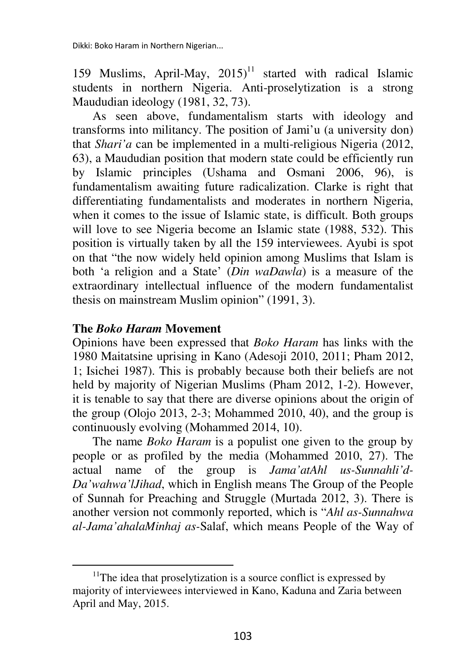159 Muslims, April-May,  $2015$ <sup>11</sup> started with radical Islamic students in northern Nigeria. Anti-proselytization is a strong Maududian ideology (1981, 32, 73).

As seen above, fundamentalism starts with ideology and transforms into militancy. The position of Jami'u (a university don) that *Shari'a* can be implemented in a multi-religious Nigeria (2012, 63), a Maududian position that modern state could be efficiently run by Islamic principles (Ushama and Osmani 2006, 96), is fundamentalism awaiting future radicalization. Clarke is right that differentiating fundamentalists and moderates in northern Nigeria, when it comes to the issue of Islamic state, is difficult. Both groups will love to see Nigeria become an Islamic state (1988, 532). This position is virtually taken by all the 159 interviewees. Ayubi is spot on that "the now widely held opinion among Muslims that Islam is both 'a religion and a State' (*Din waDawla*) is a measure of the extraordinary intellectual influence of the modern fundamentalist thesis on mainstream Muslim opinion" (1991, 3).

## **The** *Boko Haram* **Movement**

l

Opinions have been expressed that *Boko Haram* has links with the 1980 Maitatsine uprising in Kano (Adesoji 2010, 2011; Pham 2012, 1; Isichei 1987). This is probably because both their beliefs are not held by majority of Nigerian Muslims (Pham 2012, 1-2). However, it is tenable to say that there are diverse opinions about the origin of the group (Olojo 2013, 2-3; Mohammed 2010, 40), and the group is continuously evolving (Mohammed 2014, 10).

The name *Boko Haram* is a populist one given to the group by people or as profiled by the media (Mohammed 2010, 27). The actual name of the group is *Jama'atAhl us-Sunnahli'd-Da'wahwa'lJihad*, which in English means The Group of the People of Sunnah for Preaching and Struggle (Murtada 2012, 3). There is another version not commonly reported, which is "*Ahl as-Sunnahwa al-Jama'ahalaMinhaj as-*Salaf, which means People of the Way of

 $11$ The idea that proselytization is a source conflict is expressed by majority of interviewees interviewed in Kano, Kaduna and Zaria between April and May, 2015.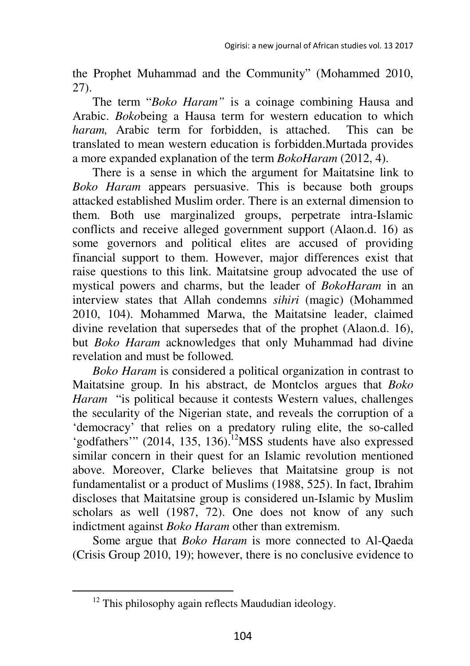the Prophet Muhammad and the Community" (Mohammed 2010, 27).

The term "*Boko Haram"* is a coinage combining Hausa and Arabic. *Boko*being a Hausa term for western education to which *haram,* Arabic term for forbidden, is attached. This can be translated to mean western education is forbidden.Murtada provides a more expanded explanation of the term *BokoHaram* (2012, 4).

There is a sense in which the argument for Maitatsine link to *Boko Haram* appears persuasive. This is because both groups attacked established Muslim order. There is an external dimension to them. Both use marginalized groups, perpetrate intra-Islamic conflicts and receive alleged government support (Alaon.d. 16) as some governors and political elites are accused of providing financial support to them. However, major differences exist that raise questions to this link. Maitatsine group advocated the use of mystical powers and charms, but the leader of *BokoHaram* in an interview states that Allah condemns *sihiri* (magic) (Mohammed 2010, 104). Mohammed Marwa, the Maitatsine leader, claimed divine revelation that supersedes that of the prophet (Alaon.d. 16), but *Boko Haram* acknowledges that only Muhammad had divine revelation and must be followed*.* 

*Boko Haram* is considered a political organization in contrast to Maitatsine group. In his abstract, de Montclos argues that *Boko Haram* "is political because it contests Western values, challenges the secularity of the Nigerian state, and reveals the corruption of a 'democracy' that relies on a predatory ruling elite, the so-called 'godfathers'" (2014, 135, 136).<sup>12</sup>MSS students have also expressed similar concern in their quest for an Islamic revolution mentioned above. Moreover, Clarke believes that Maitatsine group is not fundamentalist or a product of Muslims (1988, 525). In fact, Ibrahim discloses that Maitatsine group is considered un-Islamic by Muslim scholars as well (1987, 72). One does not know of any such indictment against *Boko Haram* other than extremism.

Some argue that *Boko Haram* is more connected to Al-Qaeda (Crisis Group 2010, 19); however, there is no conclusive evidence to

 $12$  This philosophy again reflects Maududian ideology.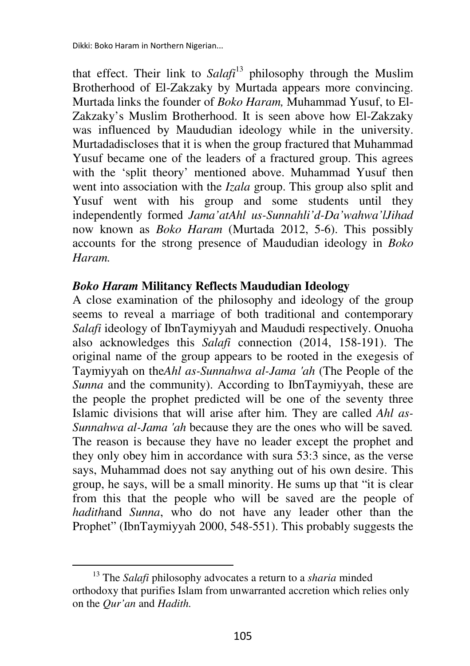that effect. Their link to *Salafi*<sup>13</sup> philosophy through the Muslim Brotherhood of El-Zakzaky by Murtada appears more convincing. Murtada links the founder of *Boko Haram,* Muhammad Yusuf, to El-Zakzaky's Muslim Brotherhood. It is seen above how El-Zakzaky was influenced by Maududian ideology while in the university. Murtadadiscloses that it is when the group fractured that Muhammad Yusuf became one of the leaders of a fractured group. This agrees with the 'split theory' mentioned above. Muhammad Yusuf then went into association with the *Izala* group. This group also split and Yusuf went with his group and some students until they independently formed *Jama'atAhl us-Sunnahli'd-Da'wahwa'lJihad* now known as *Boko Haram* (Murtada 2012, 5-6). This possibly accounts for the strong presence of Maududian ideology in *Boko Haram.* 

### *Boko Haram* **Militancy Reflects Maududian Ideology**

A close examination of the philosophy and ideology of the group seems to reveal a marriage of both traditional and contemporary *Salafi* ideology of IbnTaymiyyah and Maududi respectively. Onuoha also acknowledges this *Salafi* connection (2014, 158-191). The original name of the group appears to be rooted in the exegesis of Taymiyyah on the*Ahl as-Sunnahwa al-Jama 'ah* (The People of the *Sunna* and the community). According to IbnTaymiyyah, these are the people the prophet predicted will be one of the seventy three Islamic divisions that will arise after him. They are called *Ahl as-Sunnahwa al-Jama 'ah* because they are the ones who will be saved*.* The reason is because they have no leader except the prophet and they only obey him in accordance with sura 53:3 since, as the verse says, Muhammad does not say anything out of his own desire. This group, he says, will be a small minority. He sums up that "it is clear from this that the people who will be saved are the people of *hadith*and *Sunna*, who do not have any leader other than the Prophet" (IbnTaymiyyah 2000, 548-551). This probably suggests the

<sup>13</sup> The *Salafi* philosophy advocates a return to a *sharia* minded orthodoxy that purifies Islam from unwarranted accretion which relies only on the *Qur'an* and *Hadith.*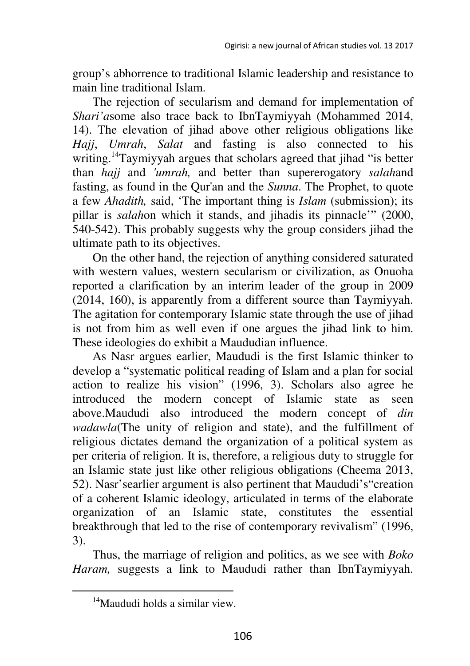group's abhorrence to traditional Islamic leadership and resistance to main line traditional Islam.

The rejection of secularism and demand for implementation of *Shari'a*some also trace back to IbnTaymiyyah (Mohammed 2014, 14). The elevation of jihad above other religious obligations like *Hajj*, *Umrah*, *Salat* and fasting is also connected to his writing.<sup>14</sup>Taymiyyah argues that scholars agreed that jihad "is better than *hajj* and *'umrah,* and better than supererogatory *salah*and fasting, as found in the Qur'an and the *Sunna*. The Prophet, to quote a few *Ahadith,* said, 'The important thing is *Islam* (submission); its pillar is *salah*on which it stands, and jihadis its pinnacle'" (2000, 540-542). This probably suggests why the group considers jihad the ultimate path to its objectives.

On the other hand, the rejection of anything considered saturated with western values, western secularism or civilization, as Onuoha reported a clarification by an interim leader of the group in 2009 (2014, 160), is apparently from a different source than Taymiyyah. The agitation for contemporary Islamic state through the use of jihad is not from him as well even if one argues the jihad link to him. These ideologies do exhibit a Maududian influence.

As Nasr argues earlier, Maududi is the first Islamic thinker to develop a "systematic political reading of Islam and a plan for social action to realize his vision" (1996, 3). Scholars also agree he introduced the modern concept of Islamic state as seen above.Maududi also introduced the modern concept of *din wadawla*(The unity of religion and state), and the fulfillment of religious dictates demand the organization of a political system as per criteria of religion. It is, therefore, a religious duty to struggle for an Islamic state just like other religious obligations (Cheema 2013, 52). Nasr'searlier argument is also pertinent that Maududi's"creation of a coherent Islamic ideology, articulated in terms of the elaborate organization of an Islamic state, constitutes the essential breakthrough that led to the rise of contemporary revivalism" (1996, 3).

Thus, the marriage of religion and politics, as we see with *Boko Haram,* suggests a link to Maududi rather than IbnTaymiyyah.

<sup>&</sup>lt;sup>14</sup>Maududi holds a similar view.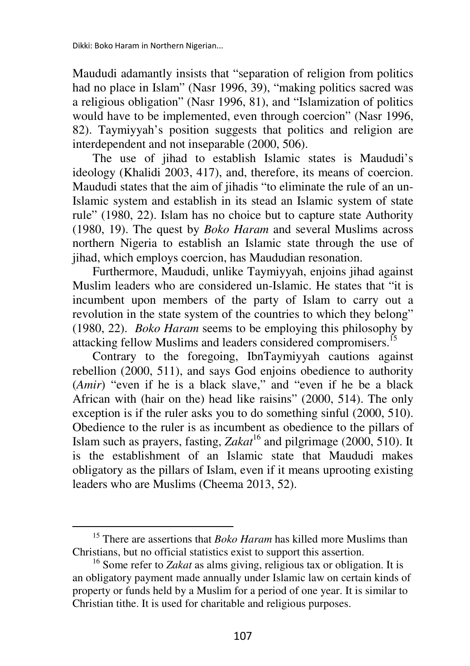l

Maududi adamantly insists that "separation of religion from politics had no place in Islam" (Nasr 1996, 39), "making politics sacred was a religious obligation" (Nasr 1996, 81), and "Islamization of politics would have to be implemented, even through coercion" (Nasr 1996, 82). Taymiyyah's position suggests that politics and religion are interdependent and not inseparable (2000, 506).

The use of jihad to establish Islamic states is Maududi's ideology (Khalidi 2003, 417), and, therefore, its means of coercion. Maududi states that the aim of jihadis "to eliminate the rule of an un-Islamic system and establish in its stead an Islamic system of state rule" (1980, 22). Islam has no choice but to capture state Authority (1980, 19). The quest by *Boko Haram* and several Muslims across northern Nigeria to establish an Islamic state through the use of jihad, which employs coercion, has Maududian resonation.

Furthermore, Maududi, unlike Taymiyyah, enjoins jihad against Muslim leaders who are considered un-Islamic. He states that "it is incumbent upon members of the party of Islam to carry out a revolution in the state system of the countries to which they belong" (1980, 22). *Boko Haram* seems to be employing this philosophy by attacking fellow Muslims and leaders considered compromisers.<sup>15</sup>

Contrary to the foregoing, IbnTaymiyyah cautions against rebellion (2000, 511), and says God enjoins obedience to authority (*Amir*) "even if he is a black slave," and "even if he be a black African with (hair on the) head like raisins" (2000, 514). The only exception is if the ruler asks you to do something sinful (2000, 510). Obedience to the ruler is as incumbent as obedience to the pillars of Islam such as prayers, fasting,  $Zakat^{16}$  and pilgrimage (2000, 510). It is the establishment of an Islamic state that Maududi makes obligatory as the pillars of Islam, even if it means uprooting existing leaders who are Muslims (Cheema 2013, 52).

<sup>&</sup>lt;sup>15</sup> There are assertions that *Boko Haram* has killed more Muslims than Christians, but no official statistics exist to support this assertion.

<sup>&</sup>lt;sup>16</sup> Some refer to *Zakat* as alms giving, religious tax or obligation. It is an obligatory payment made annually under Islamic law on certain kinds of property or funds held by a Muslim for a period of one year. It is similar to Christian tithe. It is used for charitable and religious purposes.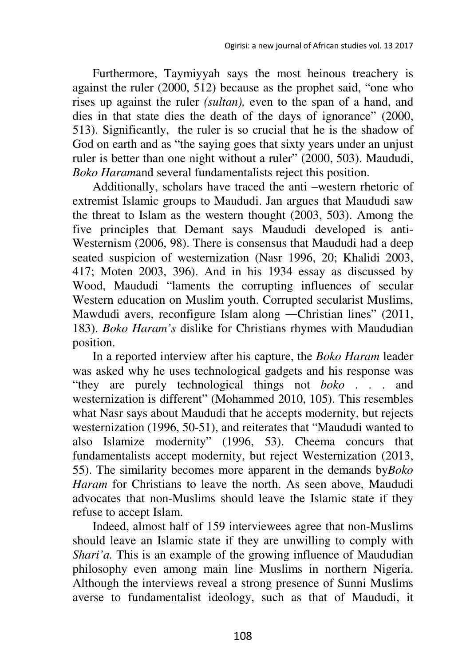Furthermore, Taymiyyah says the most heinous treachery is against the ruler (2000, 512) because as the prophet said, "one who rises up against the ruler *(sultan),* even to the span of a hand, and dies in that state dies the death of the days of ignorance" (2000, 513). Significantly, the ruler is so crucial that he is the shadow of God on earth and as "the saying goes that sixty years under an unjust ruler is better than one night without a ruler" (2000, 503). Maududi, *Boko Haram*and several fundamentalists reject this position.

Additionally, scholars have traced the anti –western rhetoric of extremist Islamic groups to Maududi. Jan argues that Maududi saw the threat to Islam as the western thought (2003, 503). Among the five principles that Demant says Maududi developed is anti-Westernism (2006, 98). There is consensus that Maududi had a deep seated suspicion of westernization (Nasr 1996, 20; Khalidi 2003, 417; Moten 2003, 396). And in his 1934 essay as discussed by Wood, Maududi "laments the corrupting influences of secular Western education on Muslim youth. Corrupted secularist Muslims, Mawdudi avers, reconfigure Islam along ―Christian lines" (2011, 183). *Boko Haram's* dislike for Christians rhymes with Maududian position.

In a reported interview after his capture, the *Boko Haram* leader was asked why he uses technological gadgets and his response was "they are purely technological things not *boko* . . . and westernization is different" (Mohammed 2010, 105). This resembles what Nasr says about Maududi that he accepts modernity, but rejects westernization (1996, 50-51), and reiterates that "Maududi wanted to also Islamize modernity" (1996, 53). Cheema concurs that fundamentalists accept modernity, but reject Westernization (2013, 55). The similarity becomes more apparent in the demands by*Boko Haram* for Christians to leave the north. As seen above, Maududi advocates that non-Muslims should leave the Islamic state if they refuse to accept Islam.

Indeed, almost half of 159 interviewees agree that non-Muslims should leave an Islamic state if they are unwilling to comply with *Shari'a.* This is an example of the growing influence of Maududian philosophy even among main line Muslims in northern Nigeria. Although the interviews reveal a strong presence of Sunni Muslims averse to fundamentalist ideology, such as that of Maududi, it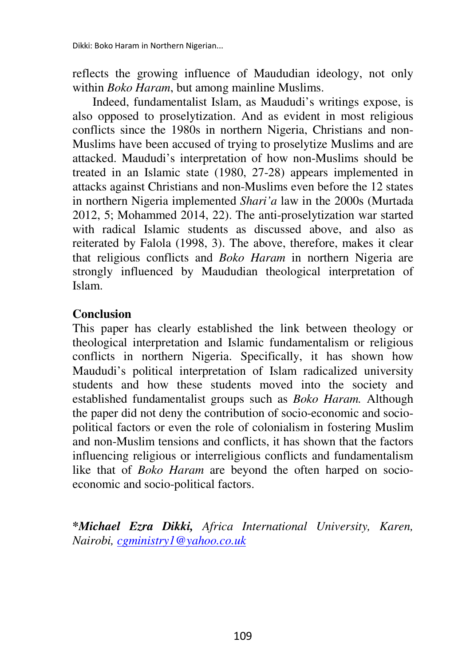reflects the growing influence of Maududian ideology, not only within *Boko Haram*, but among mainline Muslims.

Indeed, fundamentalist Islam, as Maududi's writings expose, is also opposed to proselytization. And as evident in most religious conflicts since the 1980s in northern Nigeria, Christians and non-Muslims have been accused of trying to proselytize Muslims and are attacked. Maududi's interpretation of how non-Muslims should be treated in an Islamic state (1980, 27-28) appears implemented in attacks against Christians and non-Muslims even before the 12 states in northern Nigeria implemented *Shari'a* law in the 2000s (Murtada 2012, 5; Mohammed 2014, 22). The anti-proselytization war started with radical Islamic students as discussed above, and also as reiterated by Falola (1998, 3). The above, therefore, makes it clear that religious conflicts and *Boko Haram* in northern Nigeria are strongly influenced by Maududian theological interpretation of Islam.

### **Conclusion**

This paper has clearly established the link between theology or theological interpretation and Islamic fundamentalism or religious conflicts in northern Nigeria. Specifically, it has shown how Maududi's political interpretation of Islam radicalized university students and how these students moved into the society and established fundamentalist groups such as *Boko Haram.* Although the paper did not deny the contribution of socio-economic and sociopolitical factors or even the role of colonialism in fostering Muslim and non-Muslim tensions and conflicts, it has shown that the factors influencing religious or interreligious conflicts and fundamentalism like that of *Boko Haram* are beyond the often harped on socioeconomic and socio-political factors.

**\****Michael Ezra Dikki, Africa International University, Karen, Nairobi, cgministry1@yahoo.co.uk*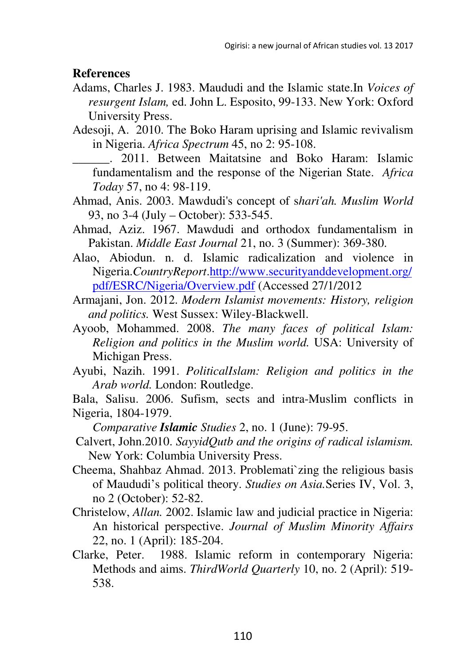#### **References**

- Adams, Charles J. 1983. Maududi and the Islamic state.In *Voices of resurgent Islam,* ed. John L. Esposito, 99-133. New York: Oxford University Press.
- Adesoji, A. 2010. The Boko Haram uprising and Islamic revivalism in Nigeria. *Africa Spectrum* 45, no 2: 95-108.
	- \_\_\_\_\_\_. 2011. Between Maitatsine and Boko Haram: Islamic fundamentalism and the response of the Nigerian State. *Africa Today* 57, no 4: 98-119.
- Ahmad, Anis. 2003. Mawdudi's concept of s*hari'ah. Muslim World*  93, no 3-4 (July – October): 533-545.
- Ahmad, Aziz. 1967. Mawdudi and orthodox fundamentalism in Pakistan. *Middle East Journal* 21, no. 3 (Summer): 369-380.
- Alao, Abiodun. n. d. Islamic radicalization and violence in Nigeria.*CountryReport*.http://www.securityanddevelopment.org/ pdf/ESRC/Nigeria/Overview.pdf (Accessed 27/1/2012
- Armajani, Jon. 2012. *Modern Islamist movements: History, religion and politics.* West Sussex: Wiley-Blackwell.
- Ayoob, Mohammed. 2008. *The many faces of political Islam: Religion and politics in the Muslim world.* USA: University of Michigan Press.
- Ayubi, Nazih. 1991. *PoliticalIslam: Religion and politics in the Arab world.* London: Routledge.

Bala, Salisu. 2006. Sufism, sects and intra-Muslim conflicts in Nigeria, 1804-1979.

*Comparative Islamic Studies* 2, no. 1 (June): 79-95.

- Calvert, John.2010. *SayyidQutb and the origins of radical islamism.*  New York: Columbia University Press.
- Cheema, Shahbaz Ahmad. 2013. Problemati`zing the religious basis of Maududi's political theory. *Studies on Asia.*Series IV, Vol. 3, no 2 (October): 52-82.
- Christelow, *Allan.* 2002. Islamic law and judicial practice in Nigeria: An historical perspective. *Journal of Muslim Minority Affairs*  22, no. 1 (April): 185-204.
- Clarke, Peter. 1988. Islamic reform in contemporary Nigeria: Methods and aims. *ThirdWorld Quarterly* 10, no. 2 (April): 519- 538.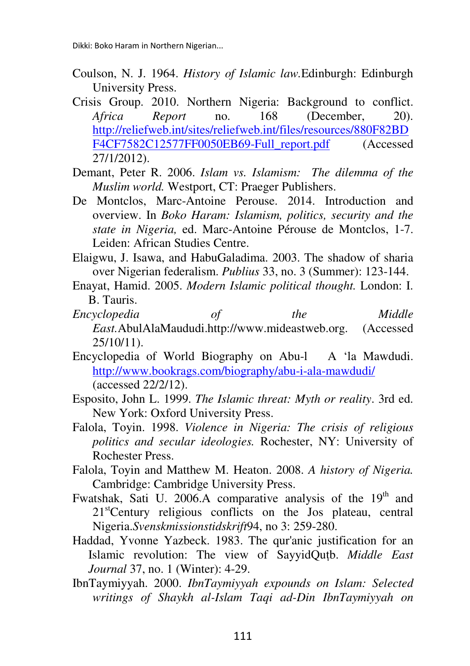- Coulson, N. J. 1964. *History of Islamic law.*Edinburgh: Edinburgh University Press.
- Crisis Group. 2010. Northern Nigeria: Background to conflict. *Africa Report* no. 168 (December, 20). http://reliefweb.int/sites/reliefweb.int/files/resources/880F82BD F4CF7582C12577FF0050EB69-Full\_report.pdf (Accessed 27/1/2012).
- Demant, Peter R. 2006. *Islam vs. Islamism: The dilemma of the Muslim world.* Westport, CT: Praeger Publishers.
- De Montclos, Marc-Antoine Perouse. 2014. Introduction and overview. In *Boko Haram: Islamism, politics, security and the state in Nigeria,* ed. Marc-Antoine Pérouse de Montclos, 1-7. Leiden: African Studies Centre.
- Elaigwu, J. Isawa, and HabuGaladima. 2003. The shadow of sharia over Nigerian federalism. *Publius* 33, no. 3 (Summer): 123-144.
- Enayat, Hamid. 2005. *Modern Islamic political thought.* London: I. B. Tauris.
- *Encyclopedia of the Middle East.*AbulAlaMaududi.http://www.mideastweb.org. (Accessed 25/10/11).
- Encyclopedia of World Biography on Abu-l A 'la Mawdudi. http://www.bookrags.com/biography/abu-i-ala-mawdudi/ (accessed 22/2/12).
- Esposito, John L. 1999. *The Islamic threat: Myth or reality*. 3rd ed. New York: Oxford University Press.
- Falola, Toyin. 1998. *Violence in Nigeria: The crisis of religious politics and secular ideologies.* Rochester, NY: University of Rochester Press.
- Falola, Toyin and Matthew M. Heaton. 2008. *A history of Nigeria.*  Cambridge: Cambridge University Press.
- Fwatshak, Sati U. 2006.A comparative analysis of the  $19<sup>th</sup>$  and 21<sup>st</sup>Century religious conflicts on the Jos plateau, central Nigeria.*Svenskmissionstidskrift*94, no 3: 259-280.
- Haddad, Yvonne Yazbeck. 1983. The qur'anic justification for an Islamic revolution: The view of SayyidQuṭb. *Middle East Journal* 37, no. 1 (Winter): 4-29.
- IbnTaymiyyah. 2000. *IbnTaymiyyah expounds on Islam: Selected writings of Shaykh al-Islam Taqi ad-Din IbnTaymiyyah on*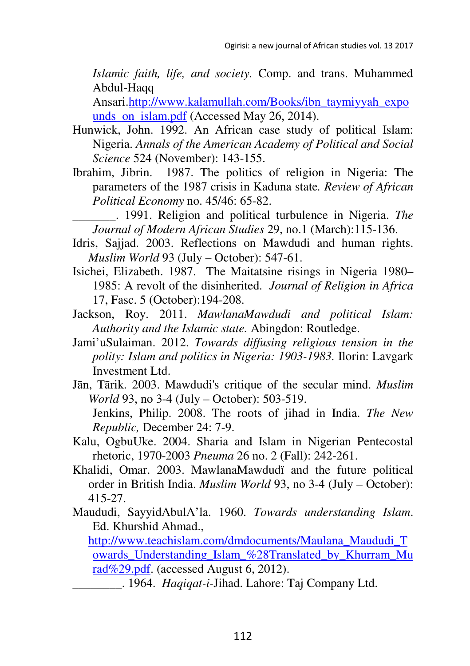*Islamic faith, life, and society.* Comp. and trans. Muhammed Abdul-Haqq

Ansari.http://www.kalamullah.com/Books/ibn\_taymiyyah\_expo unds on islam.pdf (Accessed May 26, 2014).

- Hunwick, John. 1992. An African case study of political Islam: Nigeria. *Annals of the American Academy of Political and Social Science* 524 (November): 143-155.
- Ibrahim, Jibrin. 1987. The politics of religion in Nigeria: The parameters of the 1987 crisis in Kaduna state*. Review of African Political Economy* no. 45/46: 65-82.
	- \_\_\_\_\_\_\_. 1991. Religion and political turbulence in Nigeria. *The Journal of Modern African Studies* 29, no.1 (March):115-136.
- Idris, Sajjad. 2003. Reflections on Mawdudi and human rights. *Muslim World* 93 (July – October): 547-61.
- Isichei, Elizabeth. 1987. The Maitatsine risings in Nigeria 1980– 1985: A revolt of the disinherited. *Journal of Religion in Africa*  17, Fasc. 5 (October):194-208.
- Jackson, Roy. 2011. *MawlanaMawdudi and political Islam: Authority and the Islamic state.* Abingdon: Routledge.
- Jami'uSulaiman. 2012. *Towards diffusing religious tension in the polity: Islam and politics in Nigeria: 1903-1983.* Ilorin: Lavgark Investment Ltd.
- Jān, Tārik. 2003. Mawdudi's critique of the secular mind. *Muslim World* 93, no 3-4 (July – October): 503-519. Jenkins, Philip. 2008. The roots of jihad in India. *The New Republic,* December 24: 7-9.
- Kalu, OgbuUke. 2004. Sharia and Islam in Nigerian Pentecostal rhetoric, 1970-2003 *Pneuma* 26 no. 2 (Fall): 242-261.
- Khalidi, Omar. 2003. MawlanaMawdudï and the future political order in British India. *Muslim World* 93, no 3-4 (July – October): 415-27.
- Maududi, SayyidAbulA'la. 1960. *Towards understanding Islam*. Ed. Khurshid Ahmad.,

http://www.teachislam.com/dmdocuments/Maulana\_Maududi\_T owards\_Understanding\_Islam\_%28Translated\_by\_Khurram\_Mu rad%29.pdf. (accessed August 6, 2012).

\_\_\_\_\_\_\_\_. 1964. *Haqiqat-i-*Jihad. Lahore: Taj Company Ltd.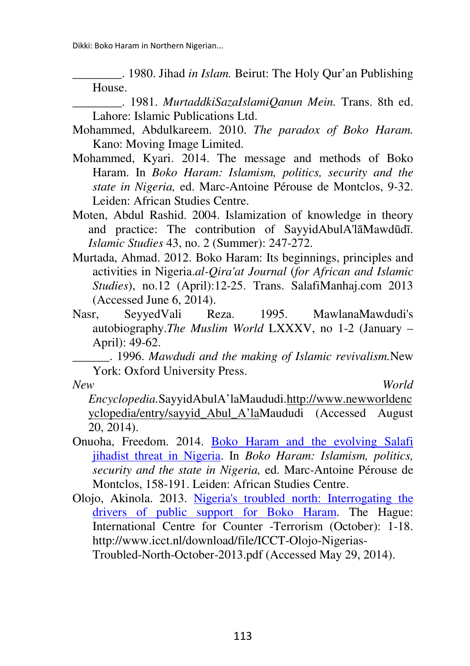Dikki: Boko Haram in Northern Nigerian...

\_\_\_\_\_\_\_\_. 1980. Jihad *in Islam.* Beirut: The Holy Qur'an Publishing House.

- \_\_\_\_\_\_\_\_. 1981. *MurtaddkiSazaIslamiQanun Mein.* Trans. 8th ed. Lahore: Islamic Publications Ltd.
- Mohammed, Abdulkareem. 2010. *The paradox of Boko Haram.*  Kano: Moving Image Limited.
- Mohammed, Kyari. 2014. The message and methods of Boko Haram. In *Boko Haram: Islamism, politics, security and the state in Nigeria,* ed. Marc-Antoine Pérouse de Montclos, 9-32. Leiden: African Studies Centre.
- Moten, Abdul Rashid. 2004. Islamization of knowledge in theory and practice: The contribution of SayyidAbulA'lāMawdūdī. *Islamic Studies* 43, no. 2 (Summer): 247-272.
- Murtada, Ahmad. 2012. Boko Haram: Its beginnings, principles and activities in Nigeria.*al-Qira'at Journal* (*for African and Islamic Studies*), no.12 (April):12-25. Trans. SalafiManhaj.com 2013 (Accessed June 6, 2014).
- Nasr, SeyyedVali Reza. 1995. MawlanaMawdudi's autobiography.*The Muslim World* LXXXV, no 1-2 (January – April): 49-62.

\_\_\_\_\_\_. 1996. *Mawdudi and the making of Islamic revivalism.*New York: Oxford University Press.

*New World* 

*Encyclopedia.*SayyidAbulA'laMaududi.http://www.newworldenc yclopedia/entry/sayyid\_Abul\_A'laMaududi (Accessed August 20, 2014).

- Onuoha, Freedom. 2014. Boko Haram and the evolving Salafi jihadist threat in Nigeria. In *Boko Haram: Islamism, politics, security and the state in Nigeria,* ed. Marc-Antoine Pérouse de Montclos, 158-191. Leiden: African Studies Centre.
- Olojo, Akinola. 2013. Nigeria's troubled north: Interrogating the drivers of public support for Boko Haram. The Hague: International Centre for Counter -Terrorism (October): 1-18. http://www.icct.nl/download/file/ICCT-Olojo-Nigerias-Troubled-North-October-2013.pdf (Accessed May 29, 2014).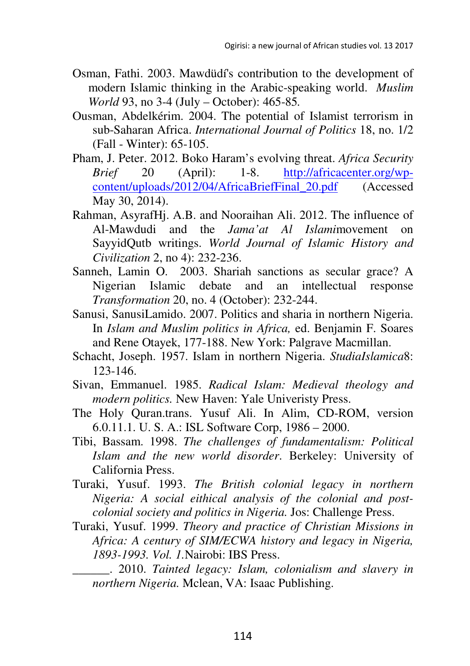- Osman, Fathi. 2003. Mawdüdí's contribution to the development of modern Islamic thinking in the Arabic-speaking world. *Muslim World* 93, no 3-4 (July – October): 465-85*.*
- Ousman, Abdelkérim. 2004. The potential of Islamist terrorism in sub-Saharan Africa. *International Journal of Politics* 18, no. 1/2 (Fall - Winter): 65-105.
- Pham, J. Peter. 2012. Boko Haram's evolving threat. *Africa Security Brief* 20 (April): 1-8. http://africacenter.org/wpcontent/uploads/2012/04/AfricaBriefFinal\_20.pdf (Accessed May 30, 2014).
- Rahman, AsyrafHj. A.B. and Nooraihan Ali. 2012. The influence of Al-Mawdudi and the *Jama'at Al Islami*movement on SayyidQutb writings. *World Journal of Islamic History and Civilization* 2, no 4): 232-236.
- Sanneh, Lamin O. 2003. Shariah sanctions as secular grace? A Nigerian Islamic debate and an intellectual response *Transformation* 20, no. 4 (October): 232-244.
- Sanusi, SanusiLamido. 2007. Politics and sharia in northern Nigeria. In *Islam and Muslim politics in Africa,* ed. Benjamin F. Soares and Rene Otayek, 177-188. New York: Palgrave Macmillan.
- Schacht, Joseph. 1957. Islam in northern Nigeria. *StudiaIslamica*8: 123-146.
- Sivan, Emmanuel. 1985. *Radical Islam: Medieval theology and modern politics.* New Haven: Yale Univeristy Press.
- The Holy Quran.trans. Yusuf Ali. In Alim, CD-ROM, version 6.0.11.1. U. S. A.: ISL Software Corp, 1986 – 2000.
- Tibi, Bassam. 1998. *The challenges of fundamentalism: Political Islam and the new world disorder*. Berkeley: University of California Press.
- Turaki, Yusuf. 1993. *The British colonial legacy in northern Nigeria: A social eithical analysis of the colonial and postcolonial society and politics in Nigeria.* Jos: Challenge Press.
- Turaki, Yusuf. 1999. *Theory and practice of Christian Missions in Africa: A century of SIM/ECWA history and legacy in Nigeria, 1893-1993. Vol. 1.*Nairobi: IBS Press.
	- \_\_\_\_\_\_. 2010. *Tainted legacy: Islam, colonialism and slavery in northern Nigeria.* Mclean, VA: Isaac Publishing.